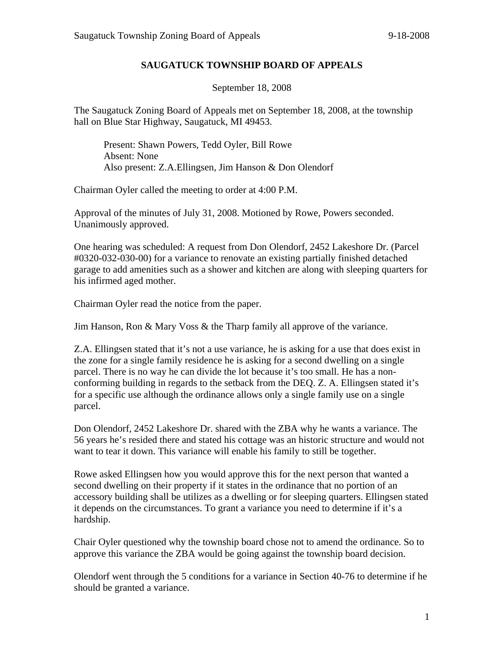## **SAUGATUCK TOWNSHIP BOARD OF APPEALS**

September 18, 2008

The Saugatuck Zoning Board of Appeals met on September 18, 2008, at the township hall on Blue Star Highway, Saugatuck, MI 49453.

Present: Shawn Powers, Tedd Oyler, Bill Rowe Absent: None Also present: Z.A.Ellingsen, Jim Hanson & Don Olendorf

Chairman Oyler called the meeting to order at 4:00 P.M.

Approval of the minutes of July 31, 2008. Motioned by Rowe, Powers seconded. Unanimously approved.

One hearing was scheduled: A request from Don Olendorf, 2452 Lakeshore Dr. (Parcel #0320-032-030-00) for a variance to renovate an existing partially finished detached garage to add amenities such as a shower and kitchen are along with sleeping quarters for his infirmed aged mother.

Chairman Oyler read the notice from the paper.

Jim Hanson, Ron & Mary Voss & the Tharp family all approve of the variance.

Z.A. Ellingsen stated that it's not a use variance, he is asking for a use that does exist in the zone for a single family residence he is asking for a second dwelling on a single parcel. There is no way he can divide the lot because it's too small. He has a nonconforming building in regards to the setback from the DEQ. Z. A. Ellingsen stated it's for a specific use although the ordinance allows only a single family use on a single parcel.

Don Olendorf, 2452 Lakeshore Dr. shared with the ZBA why he wants a variance. The 56 years he's resided there and stated his cottage was an historic structure and would not want to tear it down. This variance will enable his family to still be together.

Rowe asked Ellingsen how you would approve this for the next person that wanted a second dwelling on their property if it states in the ordinance that no portion of an accessory building shall be utilizes as a dwelling or for sleeping quarters. Ellingsen stated it depends on the circumstances. To grant a variance you need to determine if it's a hardship.

Chair Oyler questioned why the township board chose not to amend the ordinance. So to approve this variance the ZBA would be going against the township board decision.

Olendorf went through the 5 conditions for a variance in Section 40-76 to determine if he should be granted a variance.